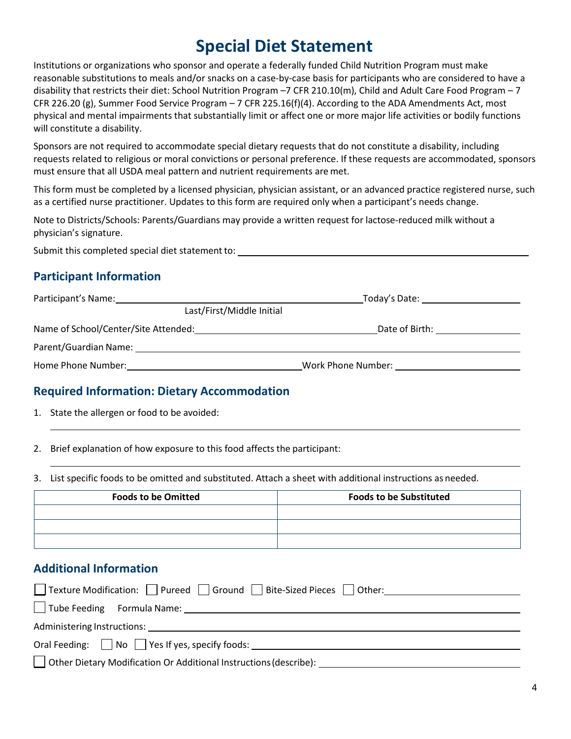# **Special Diet Statement**

Institutions or organizations who sponsor and operate a federally funded Child Nutrition Program must make reasonable substitutions to meals and/or snacks on a case-by-case basis for participants who are considered to have a disability that restricts their diet: School Nutrition Program –7 CFR 210.10(m), Child and Adult Care Food Program – 7 CFR 226.20 (g), Summer Food Service Program – 7 CFR 225.16(f)(4). According to the ADA Amendments Act, most physical and mental impairments that substantially limit or affect one or more major life activities or bodily functions will constitute a disability.

Sponsors are not required to accommodate special dietary requests that do not constitute a disability, including requests related to religious or moral convictions or personal preference. If these requests are accommodated, sponsors must ensure that all USDA meal pattern and nutrient requirements are met.

This form must be completed by a licensed physician, physician assistant, or an advanced practice registered nurse, such as a certified nurse practitioner. Updates to this form are required only when a participant's needs change.

Note to Districts/Schools: Parents/Guardians may provide a written request for lactose-reduced milk without a physician's signature.

Submit this completed special diet statement to:

### **Participant Information**

| Participant's Name:                  | Today's Date:      |  |
|--------------------------------------|--------------------|--|
| Last/First/Middle Initial            |                    |  |
| Name of School/Center/Site Attended: | Date of Birth:     |  |
| Parent/Guardian Name:                |                    |  |
| Home Phone Number:                   | Work Phone Number: |  |

#### **Required Information: Dietary Accommodation**

1. State the allergen or food to be avoided:

2. Brief explanation of how exposure to this food affects the participant:

3. List specific foods to be omitted and substituted. Attach a sheet with additional instructions as needed.

| <b>Foods to be Omitted</b> | <b>Foods to be Substituted</b> |
|----------------------------|--------------------------------|
|                            |                                |
|                            |                                |
|                            |                                |

#### **Additional Information**

| □ Texture Modification: □ Pureed □ Ground □ Bite-Sized Pieces □ Other:                                                                                                                                                         |  |  |  |
|--------------------------------------------------------------------------------------------------------------------------------------------------------------------------------------------------------------------------------|--|--|--|
| Tube Feeding Formula Name: 1997 Tube Feeding Schmula Name:                                                                                                                                                                     |  |  |  |
| Administering Instructions: Analysis of the Manuscript of the Manuscript of the Manuscript of the Manuscript of the Manuscript of the Manuscript of the Manuscript of the Manuscript of the Manuscript of the Manuscript of th |  |  |  |
| Oral Feeding: $\Box$ No $\Box$ Yes If yes, specify foods:                                                                                                                                                                      |  |  |  |
| $\Box$ Other Dietary Modification Or Additional Instructions (describe):                                                                                                                                                       |  |  |  |